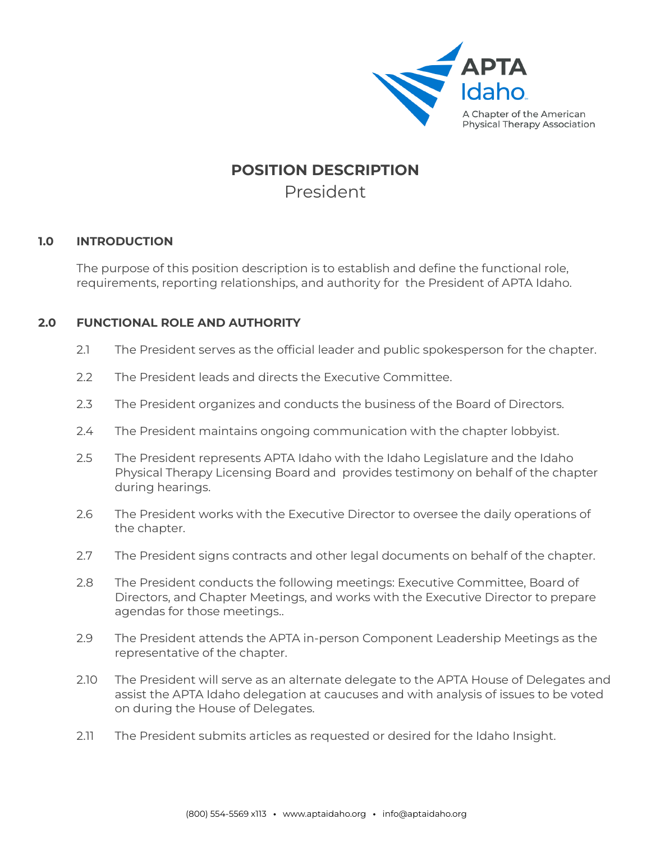

# **POSITION DESCRIPTION** President

## **1.0 INTRODUCTION**

The purpose of this position description is to establish and define the functional role, requirements, reporting relationships, and authority for the President of APTA Idaho.

# **2.0 FUNCTIONAL ROLE AND AUTHORITY**

- 2.1 The President serves as the official leader and public spokesperson for the chapter.
- 2.2 The President leads and directs the Executive Committee.
- 2.3 The President organizes and conducts the business of the Board of Directors.
- 2.4 The President maintains ongoing communication with the chapter lobbyist.
- 2.5 The President represents APTA Idaho with the Idaho Legislature and the Idaho Physical Therapy Licensing Board and provides testimony on behalf of the chapter during hearings.
- 2.6 The President works with the Executive Director to oversee the daily operations of the chapter.
- 2.7 The President signs contracts and other legal documents on behalf of the chapter.
- 2.8 The President conducts the following meetings: Executive Committee, Board of Directors, and Chapter Meetings, and works with the Executive Director to prepare agendas for those meetings..
- 2.9 The President attends the APTA in-person Component Leadership Meetings as the representative of the chapter.
- 2.10 The President will serve as an alternate delegate to the APTA House of Delegates and assist the APTA Idaho delegation at caucuses and with analysis of issues to be voted on during the House of Delegates.
- 2.11 The President submits articles as requested or desired for the Idaho Insight.